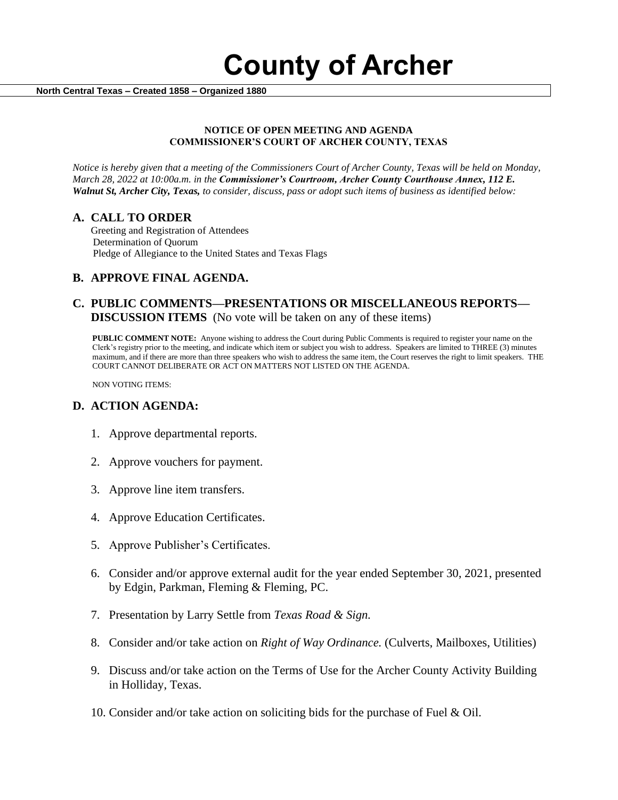

 **North Central Texas – Created 1858 – Organized 1880**

#### **NOTICE OF OPEN MEETING AND AGENDA COMMISSIONER'S COURT OF ARCHER COUNTY, TEXAS**

*Notice is hereby given that a meeting of the Commissioners Court of Archer County, Texas will be held on Monday, March 28, 2022 at 10:00a.m. in the Commissioner's Courtroom, Archer County Courthouse Annex, 112 E. Walnut St, Archer City, Texas, to consider, discuss, pass or adopt such items of business as identified below:*

## **A. CALL TO ORDER**

 Greeting and Registration of Attendees Determination of Quorum Pledge of Allegiance to the United States and Texas Flags

# **B. APPROVE FINAL AGENDA.**

## **C. PUBLIC COMMENTS—PRESENTATIONS OR MISCELLANEOUS REPORTS— DISCUSSION ITEMS** (No vote will be taken on any of these items)

**PUBLIC COMMENT NOTE:** Anyone wishing to address the Court during Public Comments is required to register your name on the Clerk's registry prior to the meeting, and indicate which item or subject you wish to address. Speakers are limited to THREE (3) minutes maximum, and if there are more than three speakers who wish to address the same item, the Court reserves the right to limit speakers. THE COURT CANNOT DELIBERATE OR ACT ON MATTERS NOT LISTED ON THE AGENDA.

NON VOTING ITEMS:

### **D. ACTION AGENDA:**

- 1. Approve departmental reports.
- 2. Approve vouchers for payment.
- 3. Approve line item transfers.
- 4. Approve Education Certificates.
- 5. Approve Publisher's Certificates.
- 6. Consider and/or approve external audit for the year ended September 30, 2021, presented by Edgin, Parkman, Fleming & Fleming, PC.
- 7. Presentation by Larry Settle from *Texas Road & Sign.*
- 8. Consider and/or take action on *Right of Way Ordinance.* (Culverts, Mailboxes, Utilities)
- 9. Discuss and/or take action on the Terms of Use for the Archer County Activity Building in Holliday, Texas.
- 10. Consider and/or take action on soliciting bids for the purchase of Fuel & Oil.